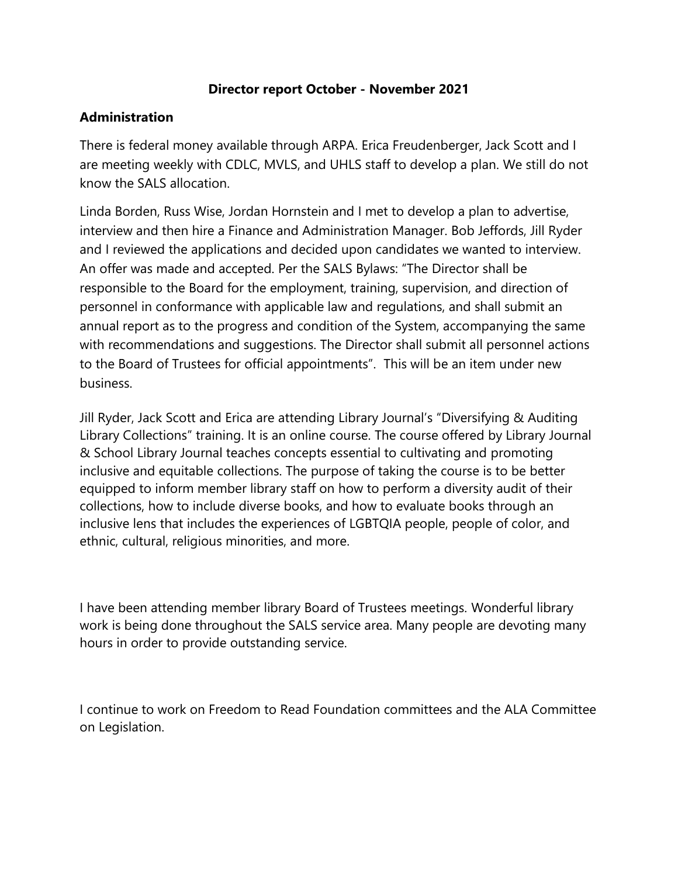#### **Director report October - November 2021**

#### **Administration**

There is federal money available through ARPA. Erica Freudenberger, Jack Scott and I are meeting weekly with CDLC, MVLS, and UHLS staff to develop a plan. We still do not know the SALS allocation.

Linda Borden, Russ Wise, Jordan Hornstein and I met to develop a plan to advertise, interview and then hire a Finance and Administration Manager. Bob Jeffords, Jill Ryder and I reviewed the applications and decided upon candidates we wanted to interview. An offer was made and accepted. Per the SALS Bylaws: "The Director shall be responsible to the Board for the employment, training, supervision, and direction of personnel in conformance with applicable law and regulations, and shall submit an annual report as to the progress and condition of the System, accompanying the same with recommendations and suggestions. The Director shall submit all personnel actions to the Board of Trustees for official appointments". This will be an item under new business.

Jill Ryder, Jack Scott and Erica are attending Library Journal's "Diversifying & Auditing Library Collections" training. It is an online course. The course offered by Library Journal & School Library Journal teaches concepts essential to cultivating and promoting inclusive and equitable collections. The purpose of taking the course is to be better equipped to inform member library staff on how to perform a diversity audit of their collections, how to include diverse books, and how to evaluate books through an inclusive lens that includes the experiences of LGBTQIA people, people of color, and ethnic, cultural, religious minorities, and more.

I have been attending member library Board of Trustees meetings. Wonderful library work is being done throughout the SALS service area. Many people are devoting many hours in order to provide outstanding service.

I continue to work on Freedom to Read Foundation committees and the ALA Committee on Legislation.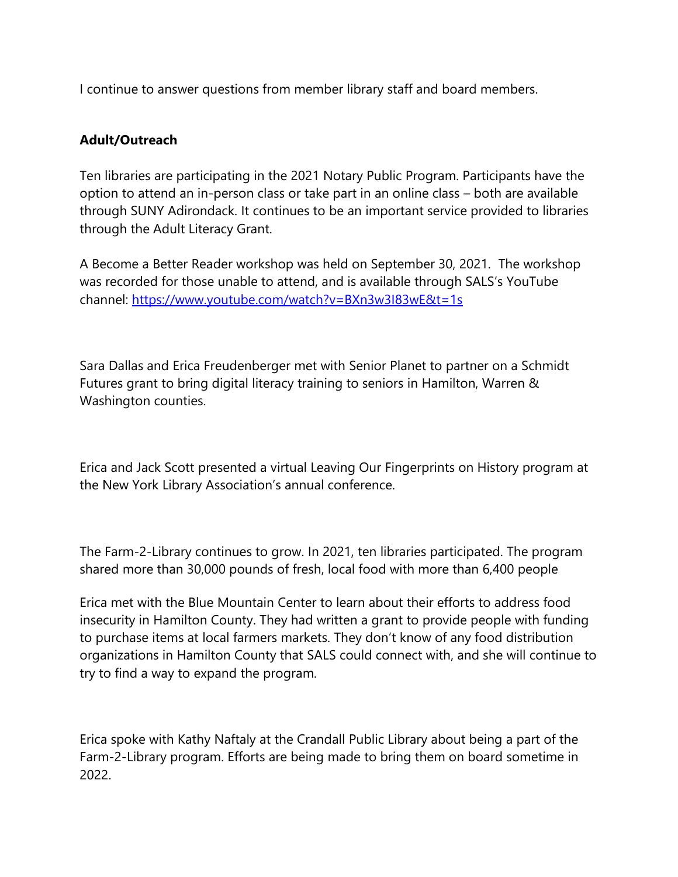I continue to answer questions from member library staff and board members.

### **Adult/Outreach**

Ten libraries are participating in the 2021 Notary Public Program. Participants have the option to attend an in-person class or take part in an online class – both are available through SUNY Adirondack. It continues to be an important service provided to libraries through the Adult Literacy Grant.

A Become a Better Reader workshop was held on September 30, 2021. The workshop was recorded for those unable to attend, and is available through SALS's YouTube channel:<https://www.youtube.com/watch?v=BXn3w3I83wE&t=1s>

Sara Dallas and Erica Freudenberger met with Senior Planet to partner on a Schmidt Futures grant to bring digital literacy training to seniors in Hamilton, Warren & Washington counties.

Erica and Jack Scott presented a virtual Leaving Our Fingerprints on History program at the New York Library Association's annual conference.

The Farm-2-Library continues to grow. In 2021, ten libraries participated. The program shared more than 30,000 pounds of fresh, local food with more than 6,400 people

Erica met with the Blue Mountain Center to learn about their efforts to address food insecurity in Hamilton County. They had written a grant to provide people with funding to purchase items at local farmers markets. They don't know of any food distribution organizations in Hamilton County that SALS could connect with, and she will continue to try to find a way to expand the program.

Erica spoke with Kathy Naftaly at the Crandall Public Library about being a part of the Farm-2-Library program. Efforts are being made to bring them on board sometime in 2022.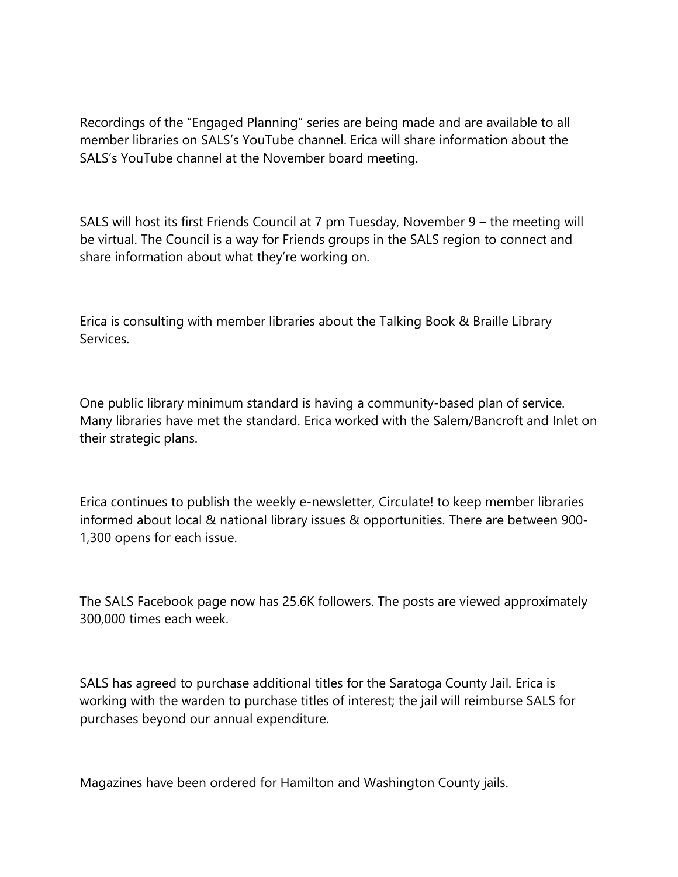Recordings of the "Engaged Planning" series are being made and are available to all member libraries on SALS's YouTube channel. Erica will share information about the SALS's YouTube channel at the November board meeting.

SALS will host its first Friends Council at 7 pm Tuesday, November 9 – the meeting will be virtual. The Council is a way for Friends groups in the SALS region to connect and share information about what they're working on.

Erica is consulting with member libraries about the Talking Book & Braille Library Services.

One public library minimum standard is having a community-based plan of service. Many libraries have met the standard. Erica worked with the Salem/Bancroft and Inlet on their strategic plans.

Erica continues to publish the weekly e-newsletter, Circulate! to keep member libraries informed about local & national library issues & opportunities. There are between 900- 1,300 opens for each issue.

The SALS Facebook page now has 25.6K followers. The posts are viewed approximately 300,000 times each week.

SALS has agreed to purchase additional titles for the Saratoga County Jail. Erica is working with the warden to purchase titles of interest; the jail will reimburse SALS for purchases beyond our annual expenditure.

Magazines have been ordered for Hamilton and Washington County jails.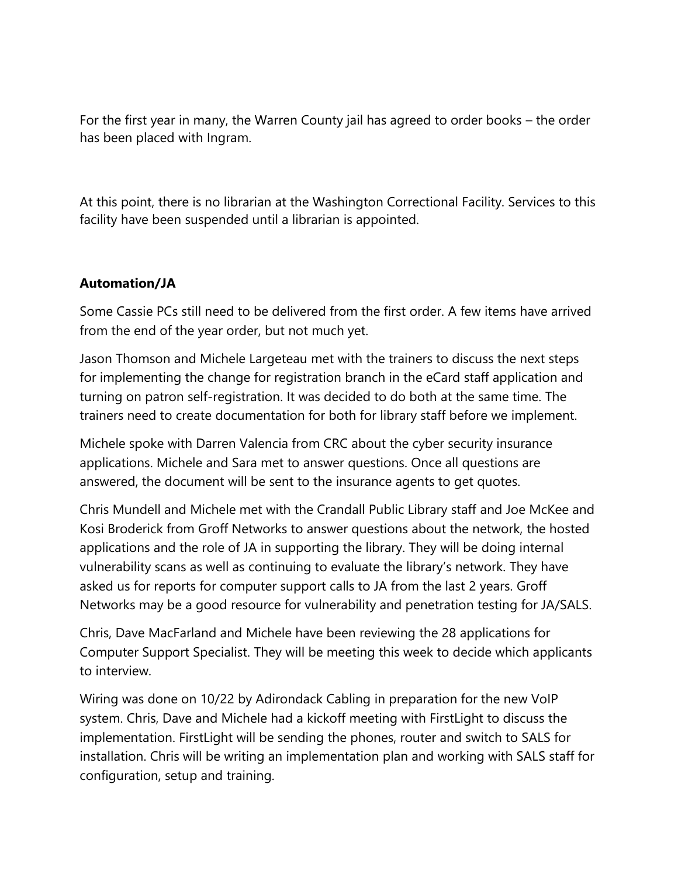For the first year in many, the Warren County jail has agreed to order books – the order has been placed with Ingram.

At this point, there is no librarian at the Washington Correctional Facility. Services to this facility have been suspended until a librarian is appointed.

# **Automation/JA**

Some Cassie PCs still need to be delivered from the first order. A few items have arrived from the end of the year order, but not much yet.

Jason Thomson and Michele Largeteau met with the trainers to discuss the next steps for implementing the change for registration branch in the eCard staff application and turning on patron self-registration. It was decided to do both at the same time. The trainers need to create documentation for both for library staff before we implement.

Michele spoke with Darren Valencia from CRC about the cyber security insurance applications. Michele and Sara met to answer questions. Once all questions are answered, the document will be sent to the insurance agents to get quotes.

Chris Mundell and Michele met with the Crandall Public Library staff and Joe McKee and Kosi Broderick from Groff Networks to answer questions about the network, the hosted applications and the role of JA in supporting the library. They will be doing internal vulnerability scans as well as continuing to evaluate the library's network. They have asked us for reports for computer support calls to JA from the last 2 years. Groff Networks may be a good resource for vulnerability and penetration testing for JA/SALS.

Chris, Dave MacFarland and Michele have been reviewing the 28 applications for Computer Support Specialist. They will be meeting this week to decide which applicants to interview.

Wiring was done on 10/22 by Adirondack Cabling in preparation for the new VoIP system. Chris, Dave and Michele had a kickoff meeting with FirstLight to discuss the implementation. FirstLight will be sending the phones, router and switch to SALS for installation. Chris will be writing an implementation plan and working with SALS staff for configuration, setup and training.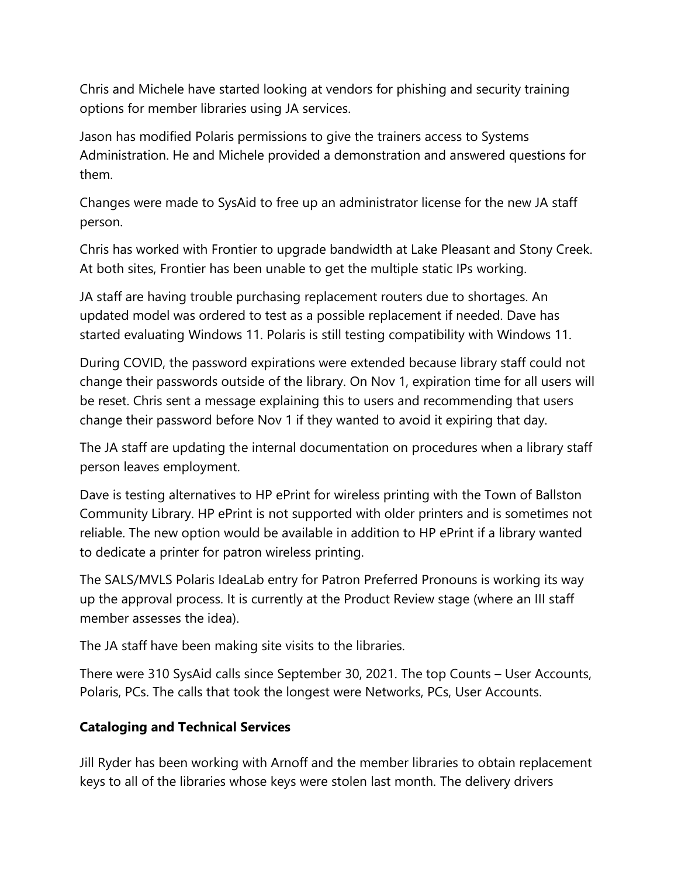Chris and Michele have started looking at vendors for phishing and security training options for member libraries using JA services.

Jason has modified Polaris permissions to give the trainers access to Systems Administration. He and Michele provided a demonstration and answered questions for them.

Changes were made to SysAid to free up an administrator license for the new JA staff person.

Chris has worked with Frontier to upgrade bandwidth at Lake Pleasant and Stony Creek. At both sites, Frontier has been unable to get the multiple static IPs working.

JA staff are having trouble purchasing replacement routers due to shortages. An updated model was ordered to test as a possible replacement if needed. Dave has started evaluating Windows 11. Polaris is still testing compatibility with Windows 11.

During COVID, the password expirations were extended because library staff could not change their passwords outside of the library. On Nov 1, expiration time for all users will be reset. Chris sent a message explaining this to users and recommending that users change their password before Nov 1 if they wanted to avoid it expiring that day.

The JA staff are updating the internal documentation on procedures when a library staff person leaves employment.

Dave is testing alternatives to HP ePrint for wireless printing with the Town of Ballston Community Library. HP ePrint is not supported with older printers and is sometimes not reliable. The new option would be available in addition to HP ePrint if a library wanted to dedicate a printer for patron wireless printing.

The SALS/MVLS Polaris IdeaLab entry for Patron Preferred Pronouns is working its way up the approval process. It is currently at the Product Review stage (where an III staff member assesses the idea).

The JA staff have been making site visits to the libraries.

There were 310 SysAid calls since September 30, 2021. The top Counts – User Accounts, Polaris, PCs. The calls that took the longest were Networks, PCs, User Accounts.

# **Cataloging and Technical Services**

Jill Ryder has been working with Arnoff and the member libraries to obtain replacement keys to all of the libraries whose keys were stolen last month. The delivery drivers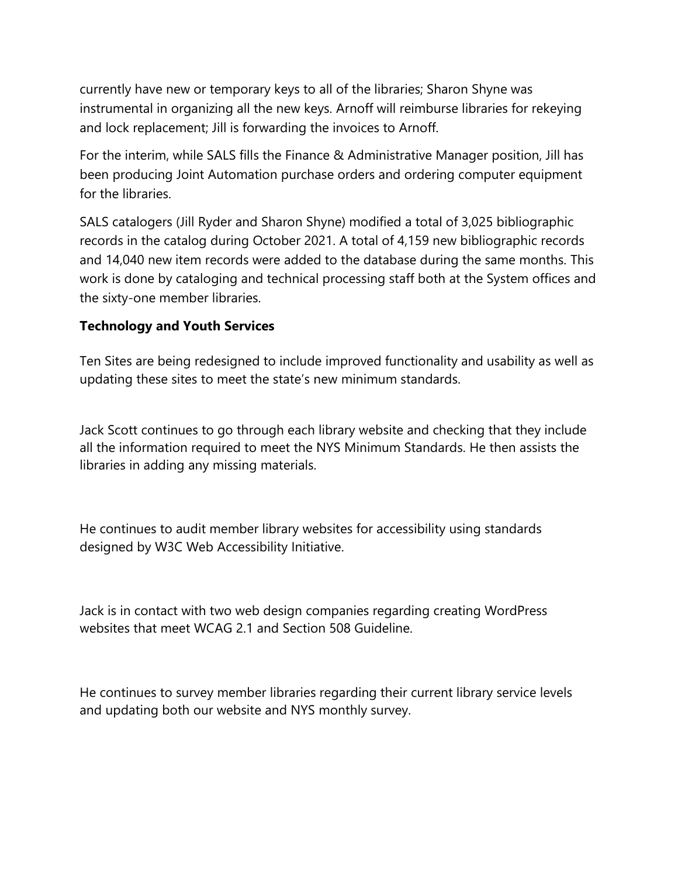currently have new or temporary keys to all of the libraries; Sharon Shyne was instrumental in organizing all the new keys. Arnoff will reimburse libraries for rekeying and lock replacement; Jill is forwarding the invoices to Arnoff.

For the interim, while SALS fills the Finance & Administrative Manager position, Jill has been producing Joint Automation purchase orders and ordering computer equipment for the libraries.

SALS catalogers (Jill Ryder and Sharon Shyne) modified a total of 3,025 bibliographic records in the catalog during October 2021. A total of 4,159 new bibliographic records and 14,040 new item records were added to the database during the same months. This work is done by cataloging and technical processing staff both at the System offices and the sixty-one member libraries.

### **Technology and Youth Services**

Ten Sites are being redesigned to include improved functionality and usability as well as updating these sites to meet the state's new minimum standards.

Jack Scott continues to go through each library website and checking that they include all the information required to meet the NYS Minimum Standards. He then assists the libraries in adding any missing materials.

He continues to audit member library websites for accessibility using standards designed by W3C Web Accessibility Initiative.

Jack is in contact with two web design companies regarding creating WordPress websites that meet WCAG 2.1 and Section 508 Guideline.

He continues to survey member libraries regarding their current library service levels and updating both our website and NYS monthly survey.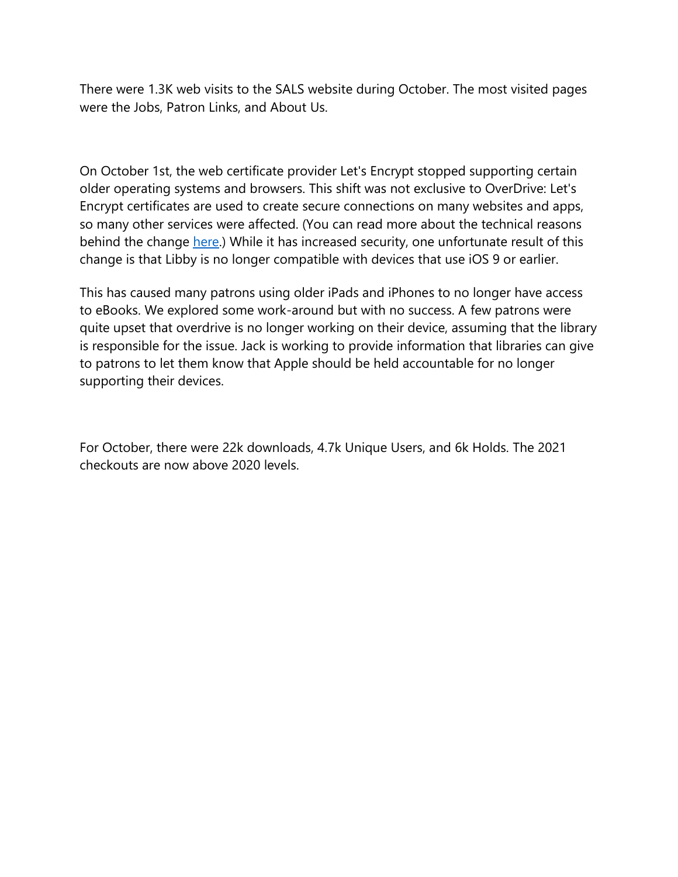There were 1.3K web visits to the SALS website during October. The most visited pages were the Jobs, Patron Links, and About Us.

On October 1st, the web certificate provider Let's Encrypt stopped supporting certain older operating systems and browsers. This shift was not exclusive to OverDrive: Let's Encrypt certificates are used to create secure connections on many websites and apps, so many other services were affected. (You can read more about the technical reasons behind the change [here.](https://urldefense.com/v3/__https:/letsencrypt.org/docs/certificate-compatibility/__;!!P1w4qL2BkQ!pYJLBh50fB12RJCj258dVMVFjdjdNDsXvEOvkkhxb9kf6dHF_oIXoj8cvzbcEs4O1yA$)) While it has increased security, one unfortunate result of this change is that Libby is no longer compatible with devices that use iOS 9 or earlier.

This has caused many patrons using older iPads and iPhones to no longer have access to eBooks. We explored some work-around but with no success. A few patrons were quite upset that overdrive is no longer working on their device, assuming that the library is responsible for the issue. Jack is working to provide information that libraries can give to patrons to let them know that Apple should be held accountable for no longer supporting their devices.

For October, there were 22k downloads, 4.7k Unique Users, and 6k Holds. The 2021 checkouts are now above 2020 levels.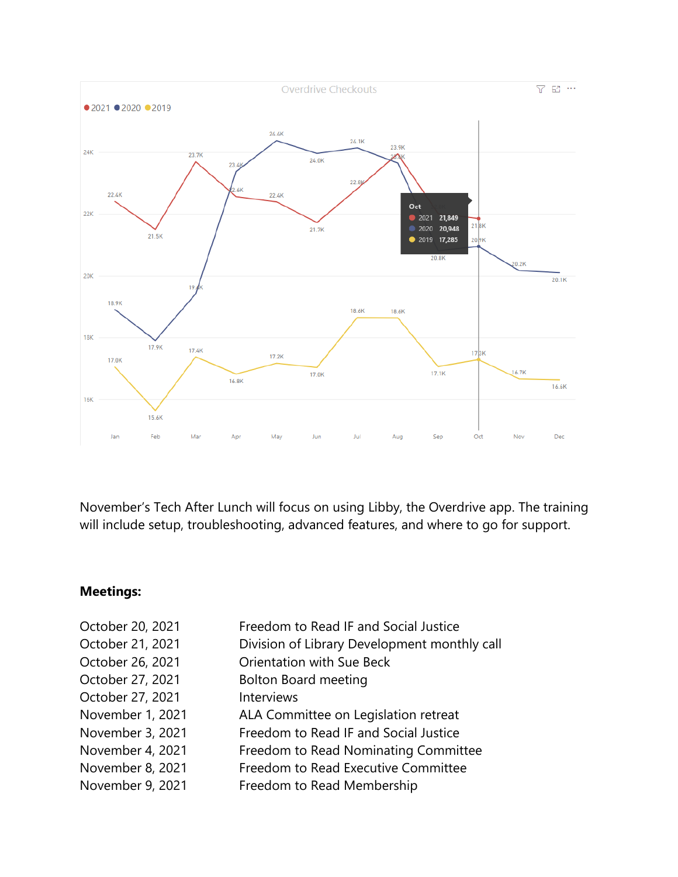

November's Tech After Lunch will focus on using Libby, the Overdrive app. The training will include setup, troubleshooting, advanced features, and where to go for support.

## **Meetings:**

| October 20, 2021 | Freedom to Read IF and Social Justice        |
|------------------|----------------------------------------------|
| October 21, 2021 | Division of Library Development monthly call |
| October 26, 2021 | <b>Orientation with Sue Beck</b>             |
| October 27, 2021 | <b>Bolton Board meeting</b>                  |
| October 27, 2021 | Interviews                                   |
| November 1, 2021 | ALA Committee on Legislation retreat         |
| November 3, 2021 | Freedom to Read IF and Social Justice        |
| November 4, 2021 | Freedom to Read Nominating Committee         |
| November 8, 2021 | Freedom to Read Executive Committee          |
| November 9, 2021 | Freedom to Read Membership                   |
|                  |                                              |